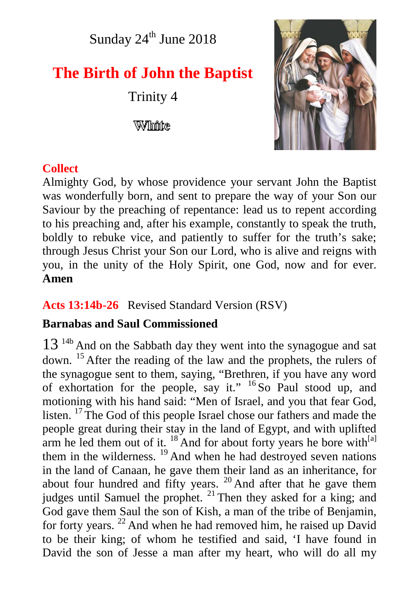Sunday  $24^{\text{th}}$  June  $2018$ 

# **The Birth of John the Baptist**

Trinity 4

Wilhinke



# **Collect**

Almighty God, by whose providence your servant John the Baptist was wonderfully born, and sent to prepare the way of your Son our Saviour by the preaching of repentance: lead us to repent according to his preaching and, after his example, constantly to speak the truth, boldly to rebuke vice, and patiently to suffer for the truth's sake; through Jesus Christ your Son our Lord, who is alive and reigns with you, in the unity of the Holy Spirit, one God, now and for ever. **Amen**

**Acts 13:14b-26** Revised Standard Version (RSV)

# **Barnabas and Saul Commissioned**

13<sup>14b</sup> And on the Sabbath day they went into the synagogue and sat down. <sup>15</sup> After the reading of the law and the prophets, the rulers of the synagogue sent to them, saying, "Brethren, if you have any word of exhortation for the people, say it." <sup>16</sup> So Paul stood up, and motioning with his hand said: "Men of Israel, and you that fear God, listen. <sup>17</sup> The God of this people Israel chose our fathers and made the people great during their stay in the land of Egypt, and with uplifted arm he led them out of it.  $^{18}$  And for about forty years he bore with $^{[a]}$ them in the wilderness.  $^{19}$  And when he had destroyed seven nations in the land of Canaan, he gave them their land as an inheritance, for about four hundred and fifty years. <sup>20</sup> And after that he gave them judges until Samuel the prophet. <sup>21</sup> Then they asked for a king; and God gave them Saul the son of Kish, a man of the tribe of Benjamin, for forty years.  $^{22}$  And when he had removed him, he raised up David to be their king; of whom he testified and said, 'I have found in David the son of Jesse a man after my heart, who will do all my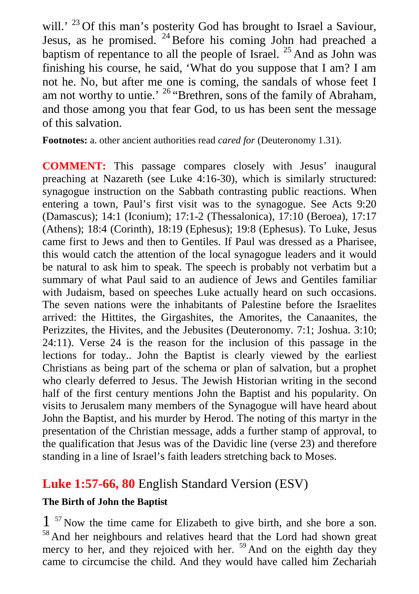will.' <sup>23</sup> Of this man's posterity God has brought to Israel a Saviour, Jesus, as he promised.  $24$  Before his coming John had preached a baptism of repentance to all the people of Israel.  $^{25}$  And as John was finishing his course, he said, 'What do you suppose that I am? I am not he. No, but after me one is coming, the sandals of whose feet I am not worthy to untie.'  $26$  "Brethren, sons of the family of Abraham, and those among you that fear God, to us has been sent the message of this salvation.

**Footnotes:** a. other ancient authorities read *cared for* (Deuteronomy 1.31).

**COMMENT:** This passage compares closely with Jesus' inaugural preaching at Nazareth (see Luke 4:16-30), which is similarly structured: synagogue instruction on the Sabbath contrasting public reactions. When entering a town, Paul's first visit was to the synagogue. See Acts 9:20 (Damascus); 14:1 (Iconium); 17:1-2 (Thessalonica), 17:10 (Beroea), 17:17 (Athens); 18:4 (Corinth), 18:19 (Ephesus); 19:8 (Ephesus). To Luke, Jesus came first to Jews and then to Gentiles. If Paul was dressed as a Pharisee, this would catch the attention of the local synagogue leaders and it would be natural to ask him to speak. The speech is probably not verbatim but a summary of what Paul said to an audience of Jews and Gentiles familiar with Judaism, based on speeches Luke actually heard on such occasions. The seven nations were the inhabitants of Palestine before the Israelites arrived: the Hittites, the Girgashites, the Amorites, the Canaanites, the Perizzites, the Hivites, and the Jebusites (Deuteronomy. 7:1; Joshua. 3:10; 24:11). Verse 24 is the reason for the inclusion of this passage in the lections for today.. John the Baptist is clearly viewed by the earliest Christians as being part of the schema or plan of salvation, but a prophet who clearly deferred to Jesus. The Jewish Historian writing in the second half of the first century mentions John the Baptist and his popularity. On visits to Jerusalem many members of the Synagogue will have heard about John the Baptist, and his murder by Herod. The noting of this martyr in the presentation of the Christian message, adds a further stamp of approval, to the qualification that Jesus was of the Davidic line (verse 23) and therefore standing in a line of Israel's faith leaders stretching back to Moses.

# **Luke 1:57-66, 80** English Standard Version (ESV)

#### **The Birth of John the Baptist**

1<sup>57</sup> Now the time came for Elizabeth to give birth, and she bore a son. <sup>58</sup> And her neighbours and relatives heard that the Lord had shown great mercy to her, and they rejoiced with her. <sup>59</sup> And on the eighth day they came to circumcise the child. And they would have called him Zechariah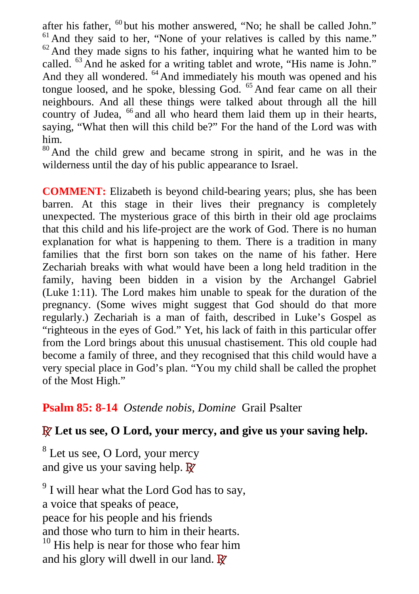after his father, <sup>60</sup> but his mother answered, "No; he shall be called John." <sup>61</sup> And they said to her, "None of your relatives is called by this name."  $62$  And they made signs to his father, inquiring what he wanted him to be called. <sup>63</sup> And he asked for a writing tablet and wrote, "His name is John." And they all wondered. <sup>64</sup> And immediately his mouth was opened and his tongue loosed, and he spoke, blessing God.  $<sup>65</sup>$  And fear came on all their</sup> neighbours. And all these things were talked about through all the hill country of Judea, <sup>66</sup> and all who heard them laid them up in their hearts, saying, "What then will this child be?" For the hand of the Lord was with him.

<sup>80</sup> And the child grew and became strong in spirit, and he was in the wilderness until the day of his public appearance to Israel.

**COMMENT:** Elizabeth is beyond child-bearing years; plus, she has been barren. At this stage in their lives their pregnancy is completely unexpected. The mysterious grace of this birth in their old age proclaims that this child and his life-project are the work of God. There is no human explanation for what is happening to them. There is a tradition in many families that the first born son takes on the name of his father. Here Zechariah breaks with what would have been a long held tradition in the family, having been bidden in a vision by the Archangel Gabriel (Luke 1:11). The Lord makes him unable to speak for the duration of the pregnancy. (Some wives might suggest that God should do that more regularly.) Zechariah is a man of faith, described in Luke's Gospel as "righteous in the eyes of God." Yet, his lack of faith in this particular offer from the Lord brings about this unusual chastisement. This old couple had become a family of three, and they recognised that this child would have a very special place in God's plan. "You my child shall be called the prophet of the Most High."

### **Psalm 85: 8-14** *Ostende nobis, Domine* Grail Psalter

### **R Let us see, O Lord, your mercy, and give us your saving help.**

<sup>8</sup> Let us see, O Lord, your mercy and give us your saving help. **R**

 $9^9$  I will hear what the Lord God has to say, a voice that speaks of peace, peace for his people and his friends and those who turn to him in their hearts.  $10$  His help is near for those who fear him and his glory will dwell in our land. **R**